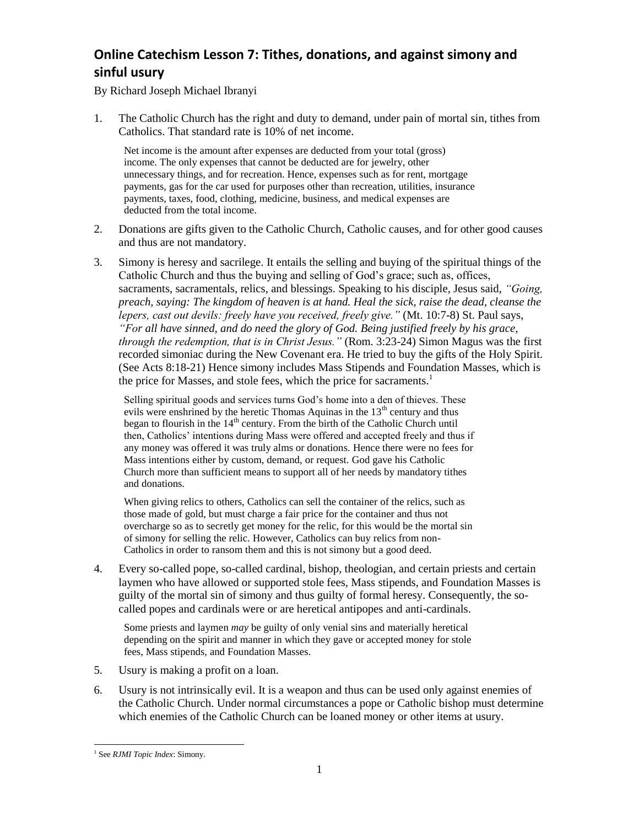## **Online Catechism Lesson 7: Tithes, donations, and against simony and sinful usury**

By Richard Joseph Michael Ibranyi

1. The Catholic Church has the right and duty to demand, under pain of mortal sin, tithes from Catholics. That standard rate is 10% of net income.

Net income is the amount after expenses are deducted from your total (gross) income. The only expenses that cannot be deducted are for jewelry, other unnecessary things, and for recreation. Hence, expenses such as for rent, mortgage payments, gas for the car used for purposes other than recreation, utilities, insurance payments, taxes, food, clothing, medicine, business, and medical expenses are deducted from the total income.

- 2. Donations are gifts given to the Catholic Church, Catholic causes, and for other good causes and thus are not mandatory.
- 3. Simony is heresy and sacrilege. It entails the selling and buying of the spiritual things of the Catholic Church and thus the buying and selling of God's grace; such as, offices, sacraments, sacramentals, relics, and blessings. Speaking to his disciple, Jesus said, *"Going, preach, saying: The kingdom of heaven is at hand. Heal the sick, raise the dead, cleanse the lepers, cast out devils: freely have you received, freely give."* (Mt. 10:7-8) St. Paul says, *"For all have sinned, and do need the glory of God. Being justified freely by his grace, through the redemption, that is in Christ Jesus."* (Rom. 3:23-24) Simon Magus was the first recorded simoniac during the New Covenant era. He tried to buy the gifts of the Holy Spirit. (See Acts 8:18-21) Hence simony includes Mass Stipends and Foundation Masses, which is the price for Masses, and stole fees, which the price for sacraments.<sup>1</sup>

Selling spiritual goods and services turns God's home into a den of thieves. These evils were enshrined by the heretic Thomas Aquinas in the  $13<sup>th</sup>$  century and thus began to flourish in the 14<sup>th</sup> century. From the birth of the Catholic Church until then, Catholics' intentions during Mass were offered and accepted freely and thus if any money was offered it was truly alms or donations. Hence there were no fees for Mass intentions either by custom, demand, or request. God gave his Catholic Church more than sufficient means to support all of her needs by mandatory tithes and donations.

When giving relics to others, Catholics can sell the container of the relics, such as those made of gold, but must charge a fair price for the container and thus not overcharge so as to secretly get money for the relic, for this would be the mortal sin of simony for selling the relic. However, Catholics can buy relics from non-Catholics in order to ransom them and this is not simony but a good deed.

4. Every so-called pope, so-called cardinal, bishop, theologian, and certain priests and certain laymen who have allowed or supported stole fees, Mass stipends, and Foundation Masses is guilty of the mortal sin of simony and thus guilty of formal heresy. Consequently, the socalled popes and cardinals were or are heretical antipopes and anti-cardinals.

Some priests and laymen *may* be guilty of only venial sins and materially heretical depending on the spirit and manner in which they gave or accepted money for stole fees, Mass stipends, and Foundation Masses.

- 5. Usury is making a profit on a loan.
- 6. Usury is not intrinsically evil. It is a weapon and thus can be used only against enemies of the Catholic Church. Under normal circumstances a pope or Catholic bishop must determine which enemies of the Catholic Church can be loaned money or other items at usury.

 1 See *RJMI Topic Index*: Simony.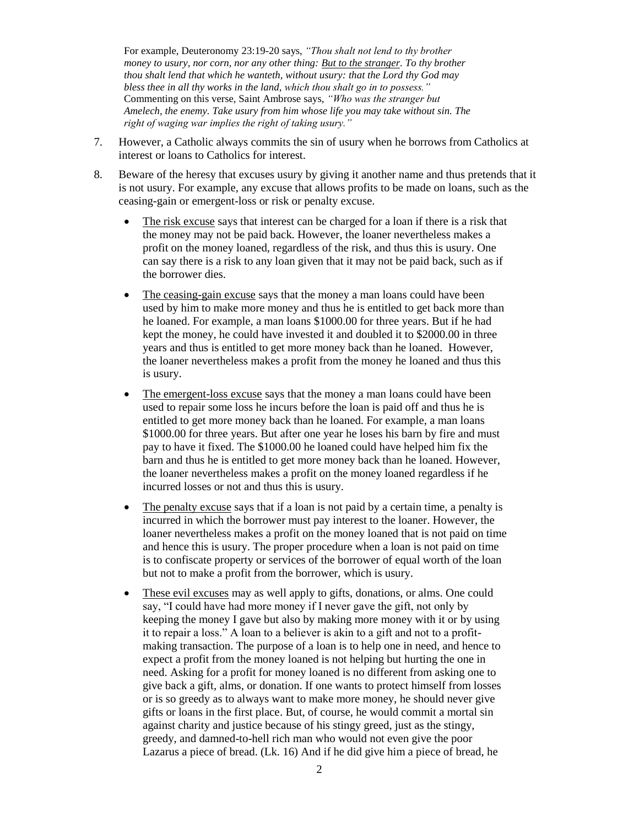For example, Deuteronomy 23:19-20 says, *"Thou shalt not lend to thy brother money to usury, nor corn, nor any other thing: But to the stranger. To thy brother thou shalt lend that which he wanteth, without usury: that the Lord thy God may bless thee in all thy works in the land, which thou shalt go in to possess."*  Commenting on this verse, Saint Ambrose says, *"Who was the stranger but Amelech, the enemy. Take usury from him whose life you may take without sin. The right of waging war implies the right of taking usury."* 

- 7. However, a Catholic always commits the sin of usury when he borrows from Catholics at interest or loans to Catholics for interest.
- 8. Beware of the heresy that excuses usury by giving it another name and thus pretends that it is not usury. For example, any excuse that allows profits to be made on loans, such as the ceasing-gain or emergent-loss or risk or penalty excuse.
	- The risk excuse says that interest can be charged for a loan if there is a risk that the money may not be paid back. However, the loaner nevertheless makes a profit on the money loaned, regardless of the risk, and thus this is usury. One can say there is a risk to any loan given that it may not be paid back, such as if the borrower dies.
	- The ceasing-gain excuse says that the money a man loans could have been used by him to make more money and thus he is entitled to get back more than he loaned. For example, a man loans \$1000.00 for three years. But if he had kept the money, he could have invested it and doubled it to \$2000.00 in three years and thus is entitled to get more money back than he loaned. However, the loaner nevertheless makes a profit from the money he loaned and thus this is usury.
	- The emergent-loss excuse says that the money a man loans could have been used to repair some loss he incurs before the loan is paid off and thus he is entitled to get more money back than he loaned. For example, a man loans \$1000.00 for three years. But after one year he loses his barn by fire and must pay to have it fixed. The \$1000.00 he loaned could have helped him fix the barn and thus he is entitled to get more money back than he loaned. However, the loaner nevertheless makes a profit on the money loaned regardless if he incurred losses or not and thus this is usury.
	- The penalty excuse says that if a loan is not paid by a certain time, a penalty is incurred in which the borrower must pay interest to the loaner. However, the loaner nevertheless makes a profit on the money loaned that is not paid on time and hence this is usury. The proper procedure when a loan is not paid on time is to confiscate property or services of the borrower of equal worth of the loan but not to make a profit from the borrower, which is usury.
	- These evil excuses may as well apply to gifts, donations, or alms. One could say, "I could have had more money if I never gave the gift, not only by keeping the money I gave but also by making more money with it or by using it to repair a loss." A loan to a believer is akin to a gift and not to a profitmaking transaction. The purpose of a loan is to help one in need, and hence to expect a profit from the money loaned is not helping but hurting the one in need. Asking for a profit for money loaned is no different from asking one to give back a gift, alms, or donation. If one wants to protect himself from losses or is so greedy as to always want to make more money, he should never give gifts or loans in the first place. But, of course, he would commit a mortal sin against charity and justice because of his stingy greed, just as the stingy, greedy, and damned-to-hell rich man who would not even give the poor Lazarus a piece of bread. (Lk. 16) And if he did give him a piece of bread, he